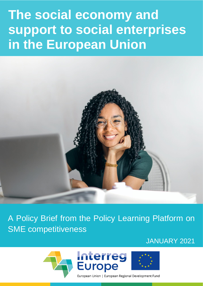# **The social economy and support to social enterprises in the European Union**



A Policy Brief from the Policy Learning Platform on SME competitiveness

JANUARY 2021

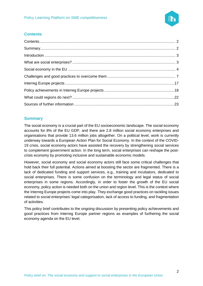

#### <span id="page-1-0"></span>**Contents**

#### <span id="page-1-1"></span>**Summary**

The social economy is a crucial part of the EU socioeconomic landscape. The social economy accounts for 8% of the EU GDP, and there are 2.8 million social economy enterprises and organisations that provide 13.6 million jobs altogether. On a political level, work is currently underway towards a European Action Plan for Social Economy. In the context of the COVID-19 crisis, social economy actors have assisted the recovery by strengthening social services to complement government action. In the long term, social enterprises can reshape the postcrisis economy by promoting inclusive and sustainable economic models.

However, social economy and social economy actors still face some critical challenges that hold back their full potential. Actions aimed at boosting the sector are fragmented. There is a lack of dedicated funding and support services, e.g., training and incubators, dedicated to social enterprises. There is some confusion on the terminology and legal status of social enterprises in some regions. Accordingly, in order to foster the growth of the EU social economy, policy action is needed both on the union and region level. This is the context where the Interreg Europe projects come into play. They exchange good practices on tackling issues related to social enterprises' legal categorisation, lack of access to funding, and fragmentation of activities.

This policy brief contributes to the ongoing discussion by presenting policy achievements and good practices from Interreg Europe partner regions as examples of furthering the social economy agenda on the EU level.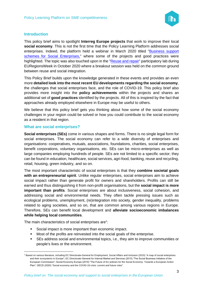

#### <span id="page-2-0"></span>**Introduction**

This policy brief aims to spotlight **Interreg Europe projects** that work to improve their local **social economy**. This is not the first time that the Policy Learning Platform addresses social enterprises. Indeed, the platform held a webinar in March 2020 titled ["Business support](https://www.interregeurope.eu/policylearning/news/8023/webinar-on-social-enterprises/)  [schemes for Social Enterprises,](https://www.interregeurope.eu/policylearning/news/8023/webinar-on-social-enterprises/)" where some of the projects and good practices were highlighted. The topic was also touched upon in the ["Reuse and repair"](https://www.interregeurope.eu/policylearning/news/10065/reuse-and-repair-session-euregionsweek-key-takeways/) participatory lab during EURegionsWeek in October 2020 where a breakout session was held on the common ground between reuse and social integration.

This Policy Brief builds upon the knowledge generated in these events and provides an even more **detailed look into the most recent EU developments regarding the social economy**, the challenges that social enterprises face, and the role of COVID-19. This policy brief also provides more insight into the **policy achievements** within the projects and shares an additional set of **good practices** identified by the projects. All of this is inspired by the fact that approaches already employed elsewhere in Europe may be useful to others.

We believe that this policy brief gets you thinking about how some of the social economy challenges in your region could be solved or how you could contribute to the social economy as a resident in that region.

#### <span id="page-2-1"></span>**What are social enterprises?**

**Social enterprises (SEs)** come in various shapes and forms. There is no single legal form for social enterprises. The social economy can refer to a wide diversity of enterprises and organisations: cooperatives, mutuals, associations, foundations, charities, social enterprises, benefit corporations, voluntary organisations, etc. SEs can be micro-enterprises as well as large companies employing hundreds of people. SEs are not limited to a specific sector; they can be found in education, healthcare, social services, agri-food, banking, reuse and recycling, retail, housing, green industry, and so on.

The most important characteristic of social enterprises is that they **combine societal goals**  with an entrepreneurial spirit. Unlike regular enterprises, social enterprises aim to achieve social impact rather than generate profit for owners and shareholders. Profits can still be earned and thus distinguishing it from non-profit organisations, but the **social impact is more important than profits**. Social enterprises are about inclusiveness, social cohesion, and addressing social and environmental needs. They often tackle pressing issues such as ecological problems, unemployment, (re)integration into society, gender inequality, problems related to aging societies, and so on, that are common among various regions in Europe. Therefore, SEs can benefit local development and **alleviate socioeconomic imbalances while helping local communities**.

The main characteristics of social enterprises are<sup>1</sup>:

- Social impact is more important than economic impact.
- Most of the profits are reinvested into the social goals of the enterprise.
- SEs address social and environmental topics, i.e., they aim to improve communities or people's lives or the environment.

<sup>1</sup> Based on various literature, including EC Directorate-General for Employment, Social Affairs and Inclusion (2015) "A map of social enterprises and their ecosystems in Europe"; EC Directorate-General for Internal Market and Services (2015) "The Social Business Initiative of the European Commission"; Social Economy Europe (2019) "The Future of EU policies for the Social Economy: Towards a European Action Plan"; OECD (2020) "Social economy and the COVID-19 crisis: current and future roles".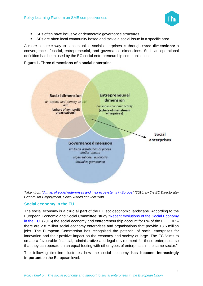

- SEs often have inclusive or democratic governance structures.
- **EXEL** SEs are often local community based and tackle a social issue in a specific area.

A more concrete way to conceptualise social enterprises is through **three dimensions:** a convergence of social, entrepreneurial, and governance dimensions. Such an operational definition has been used by the EC social entrepreneurship communication:





*Taken from ["A map of social enterprises and their ecosystems in Europe"](http://apfse.eu/wp-content/uploads/2019/04/5.Synthesis-report-FINAL.pdf) (2015) by the EC Directorate-General for Employment, Social Affairs and Inclusion.*

#### <span id="page-3-0"></span>**Social economy in the EU**

The social economy is a **crucial part** of the EU socioeconomic landscape. According to the European Economic and Social Committee' study ["Recent evolutions of the Social Economy](https://www.eesc.europa.eu/en/our-work/publications-other-work/publications/recent-evolutions-social-economy-study)  [in the EU](https://www.eesc.europa.eu/en/our-work/publications-other-work/publications/recent-evolutions-social-economy-study) "(2016) the social economy and entrepreneurship account for 8% of the EU GDP – there are 2.8 million social economy enterprises and organisations that provide 13.6 million jobs. The European Commission has recognised the potential of social enterprises for innovation and their positive impact on the economy and society at large. The EC "aims to create a favourable financial, administrative and legal environment for these enterprises so that they can operate on an equal footing with other types of enterprises in the same sector."

The following timeline illustrates how the social economy **has become increasingly important** on the European level: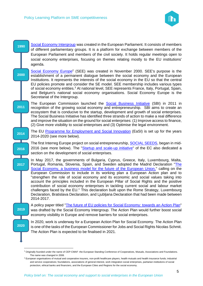

| 1990              | Social Economy Intergroup was created in the European Parliament. It consists of members<br>of different parliamentary groups. It is a platform for exchange between members of the                                                                                                                                                                                                                                                                                                                                                                                   |
|-------------------|-----------------------------------------------------------------------------------------------------------------------------------------------------------------------------------------------------------------------------------------------------------------------------------------------------------------------------------------------------------------------------------------------------------------------------------------------------------------------------------------------------------------------------------------------------------------------|
|                   | European Parliament and members of the civil society. It holds regular meetings open to<br>social economy enterprises, focusing on themes relating mostly to the EU institutions'<br>agenda.                                                                                                                                                                                                                                                                                                                                                                          |
| 2000              | Social Economy Europe <sup>2</sup> (SEE) was created in November 2000. SEE's purpose is the<br>establishment of a permanent dialogue between the social economy and the European<br>Institutions. It represents the interests of the social economy in the EU so that the central                                                                                                                                                                                                                                                                                     |
|                   | EU policies promote and consider the SE model. SEE membership includes various types<br>of social economy entities. <sup>3</sup> At national level, SEE represents France, Italy, Portugal, Spain,<br>and Belgium's national social economy organisations. Social Economy Europe is the<br>Secretariat of the Intergroup.                                                                                                                                                                                                                                             |
| 2011              | The European Commission launched the Social Business Initiative (SBI) in 2011 in<br>recognition of the growing social economy and entrepreneurship. SBI aims to create an<br>ecosystem that is conducive to the startup, development and growth of social enterprises.                                                                                                                                                                                                                                                                                                |
|                   | The Social Business Initiative has identified three strands of action to make a real difference<br>and improve the situation on the ground for social enterprises: (1) Improve access to finance,<br>(2) Give more visibility to social enterprises and (3) Optimise the legal environment.                                                                                                                                                                                                                                                                           |
| 2014              | The EU Programme for Employment and Social Innovation (EaSI) is set up for the years<br>2014-2020 (see more below).                                                                                                                                                                                                                                                                                                                                                                                                                                                   |
| 2016              | The first Interreg Europe project on social entrepreneurship, <b>SOCIAL SEEDS</b> , began in mid-<br>2016 (see more below). The "Startup and scale-up initiative" of the EC also dedicated a<br>section on the development of social enterprises.                                                                                                                                                                                                                                                                                                                     |
| $\overline{2017}$ | In May 2017, the governments of Bulgaria, Cyprus, Greece, Italy, Luxembourg, Malta,<br>Portugal, Romania, Slovenia, Spain, and Sweden adopted the Madrid Declaration "The<br>Social Economy, a business model for the future of the European Union," calling on the                                                                                                                                                                                                                                                                                                   |
|                   | European Commission to include in its working plan a European Action plan and to<br>"strengthen the role of social economy and its economic and social values taking into<br>account the principles included in the European Pillar of Social Rights and the positive<br>contribution of social economy enterprises in tackling current social and labour market<br>challenges faced by the EU." This declaration built upon the Rome Strategy, Luxembourg<br>Declaration, Bratislava Declaration, and Ljubljana Declaration that had been made between<br>2014-2017. |
| 2019              | A policy paper titled "The future of EU policies for Social Economy: towards an Action Plan"<br>was drafted by the Social Economy Intergroup. The Action Plan would further boost social<br>economy visibility in Europe and remove barriers for social enterprises.                                                                                                                                                                                                                                                                                                  |
| 2020              | In 2020, work is underway for a European Action Plan for Social Economy. The Action Plan<br>is one of the tasks of the European Commissioner for Jobs and Social Rights Nicolas Schmit.<br>The Action Plan is expected to be finalised in 2021.                                                                                                                                                                                                                                                                                                                       |
|                   |                                                                                                                                                                                                                                                                                                                                                                                                                                                                                                                                                                       |

<sup>&</sup>lt;sup>2</sup> Originally founded under the name of CEP-CMAF -the European Standing Conference of Cooperatives, Mutuals, Associations and Foundations. The name was changed in 2008.

<sup>&</sup>lt;sup>3</sup> European organisations of mutual and cooperative insurers, non-profit healthcare players, health mutuals and health insurance funds; industrial and service cooperatives; foundations, associations of general interest, work integration social enterprises, paritarian institutions of social protection, ethical banks and financiers, and the European Cities and Regions for the social economy.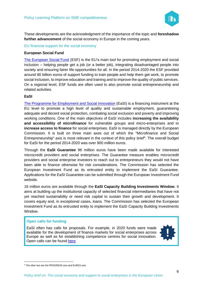

These developments are the acknowledgment of the importance of the topic and **foreshadow further advancement** of the social economy in Europe in the coming years.

EU financial support for the social economy

#### **European Social Fund**

[The European Social Fund](https://ec.europa.eu/social/main.jsp?catId=325&langId=en) (ESF) is the EU's main tool for promoting employment and social inclusion – helping people get a job (or a better job), integrating disadvantaged people into society and ensuring fairer life opportunities for all. In the period 2014-2020 the ESF provided around 80 billion euros of support funding to train people and help them get work, to promote social inclusion, to improve education and training and to improve the quality of public services. On a regional level, ESF funds are often used to also promote social entrepreneurship and related activities.

#### **EaSI**

[The Programme for Employment and Social Innovation](https://ec.europa.eu/social/main.jsp?catId=1081) (EaSI) is a financing instrument at the EU level to promote a high level of quality and sustainable employment, guaranteeing adequate and decent social protection, combating social exclusion and poverty and improving working conditions. One of the main objectives of EaSI includes **increasing the availability and accessibility of microfinance** for vulnerable groups and micro-enterprises and to **increase access to finance** for social enterprises. EaSI is managed directly by the European Commission. It is built on three main axes out of which the "Microfinance and Social Entrepreneurship" axis is most relevant in the context of this policy brief<sup>4</sup>. The overall budget for EaSI for the period 2014-2020 was over 900 million euros.

Through the **EaSI Guarantee** 96 million euros have been made available for interested microcredit providers and social enterprises. The Guarantee measure enables microcredit providers and social enterprise investors to reach out to entrepreneurs they would not have been able to finance otherwise for risk considerations. The Commission has selected the European Investment Fund as its entrusted entity to implement the EaSI Guarantee. Applications for the EaSI Guarantee can be submitted through the European Investment Fund website.

16 million euros are available through the **EaSI Capacity Building Investments Window**. It aims at building up the institutional capacity of selected financial intermediaries that have not yet reached sustainability or need risk capital to sustain their growth and development. It covers equity and, in exceptional cases, loans. The Commission has selected the European Investment Fund as its entrusted entity to implement the EaSI Capacity Building Investments Window.

#### **Open calls for funding**

EaSI often has calls for proposals. For example, in 2020 funds were made available for the development of finance markets for social enterprises across Europe as well as for establishing competence centres for social innovation. Open calls can be found [here.](https://ec.europa.eu/social/main.jsp?catId=629&langId=en)



<sup>4</sup> The other two are the PROGRESS axis and EURES axis.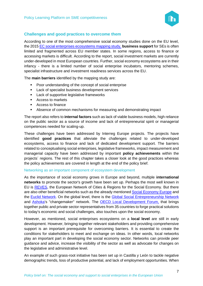

#### <span id="page-6-0"></span>**Challenges and good practices to overcome them**

According to one of the most comprehensive social economy studies done on the EU level, the 2015 EC [social enterprises ecosystems](http://apfse.eu/wp-content/uploads/2019/04/5.Synthesis-report-FINAL.pdf) mapping study, **business support** for SEs is often limited and fragmented across EU member states. In some regions, access to finance or accessing markets is difficult. According to the report, social investment markets are currently under-developed in most European countries. Further, social economy ecosystems are in their infancy - there is a limited number of social enterprise incubators, mentoring schemes, specialist infrastructure and investment readiness services across the EU.

The **main barriers** identified by the mapping study are:

- Poor understanding of the concept of social enterprise
- Lack of specialist business development services
- Lack of supportive legislative frameworks
- Access to markets
- Access to finance
- Absence of common mechanisms for measuring and demonstrating impact

The report also refers to **internal factors** such as lack of viable business models, high reliance on the public sector as a source of income and lack of entrepreneurial spirit or managerial competences needed for scaling-up.

These challenges have been addressed by Interreg Europe projects. The projects have identified **good practices** that alleviate the challenges related to under-developed ecosystems, access to finance and lack of dedicated development support. The barriers related to conceptualising social enterprises, legislative frameworks, impact measurement and managerial capacity have been addressed by important **policy achievements** within the projects´ regions. The rest of this chapter takes a closer look at the good practices whereas the policy achievements are covered in length at the end of the policy brief.

#### Networking as an important component of ecosystem development

As the importance of social economy grows in Europe and beyond, multiple **international networks** to promote the sector's growth have been set up. Perhaps the most well known in EU is [REVES,](http://www.revesnetwork.eu/wp/) the European Network of Cities & Regions for the Social Economy. But there are also other beneficial networks such as the already mentioned [Social Economy Europe](https://www.socialeconomy.eu.org/) and the [Euclid Network.](http://euclidnetwork.eu/) On the global level, there is the [Global Social Entrepreneurship Network](http://www.gsen.global/) and [Ashoka'](https://www.ashoka.org/en/about-ashoka)s "changemaker" network. The [OECD Local Development Forum,](https://www.oecd.org/local-forum/) that brings together public and private sector representatives from 35 countries to forge practical solutions to today's economic and social challenges, also touches upon the social economy.

However, as mentioned, social enterprises ecosystems on a **local level** are still in early development. However, bringing together relevant stakeholders and providing comprehensive support is an important prerequisite for overcoming barriers. It is essential to create the conditions for stakeholders to meet and exchange on ideas. In other words, local networks play an important part in developing the social economy sector. Networks can provide peer guidance and advice, increase the visibility of the sector as well as advocate for changes on the legislative and administrative level.

An example of such grass-root initiative has been set up in Castilla y León to tackle negative demographic trends, loss of productive potential, and lack of employment opportunities. When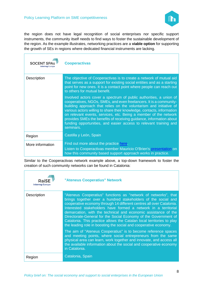

the region does not have legal recognition of social enterprises nor specific support instruments, the community itself needs to find ways to foster the sustainable development of the region. As the example illustrates, networking practices are a **viable option** for supporting the growth of SEs in regions where dedicated financial instruments are lacking.

| <b>SOCENT SPAS</b><br><b>Interreg Europe</b> | <b>Cooperactivas</b>                                                                                                                                                                                                                                                                                                                                                                                                                                                                                                  |
|----------------------------------------------|-----------------------------------------------------------------------------------------------------------------------------------------------------------------------------------------------------------------------------------------------------------------------------------------------------------------------------------------------------------------------------------------------------------------------------------------------------------------------------------------------------------------------|
| Description                                  | The objective of Cooperactivas is to create a network of mutual aid<br>that serves as a support for existing social entities and as a starting<br>point for new ones. It is a contact point where people can reach out<br>to others for mutual benefit.                                                                                                                                                                                                                                                               |
|                                              | Involved actors cover a spectrum of public authorities, a union of<br>cooperatives, NGOs, SMEs, and even freelancers. It is a community-<br>building approach that relies on the voluntarism and initiative of<br>various actors willing to share their knowledge, contacts, information<br>on relevant events, services, etc. Being a member of the network<br>provides SMEs the benefits of receiving guidance, information about<br>funding opportunities, and easier access to relevant training and<br>seminars. |
| Region                                       | Castilla y León, Spain                                                                                                                                                                                                                                                                                                                                                                                                                                                                                                |
| More information                             | Find out more about the practice here.<br>Listen to Cooperactivas member Mauricio O'Brien's presentation on<br>how this community based support approach works in practice.                                                                                                                                                                                                                                                                                                                                           |

Similar to the Cooperactivas network example above, a top-down framework to foster the creation of such community networks can be found in Catalonia:

| RaiS<br><b>Interreg Europe</b> | "Ateneus Cooperatius" Network                                                                                                                                                                                                                                                                                                                                                                                                                                                                                                                               |
|--------------------------------|-------------------------------------------------------------------------------------------------------------------------------------------------------------------------------------------------------------------------------------------------------------------------------------------------------------------------------------------------------------------------------------------------------------------------------------------------------------------------------------------------------------------------------------------------------------|
| Description                    | "Ateneus Cooperatius" functions as "network of networks", that<br>brings together over a hundred stakeholders of the social and<br>cooperative economy through 14 different centres all over Catalonia.<br>Interested stakeholders have formed a network in a territorial<br>demarcation, with the technical and economic assistance of the<br>Directorate-General for the Social Economy of the Government of<br>Catalonia. This practice allows the Catalan local territories to play<br>the leading role in boosting the social and cooperative economy. |
|                                | The aim of "Ateneus Cooperatius" is to become reference spaces<br>and meeting points, where social entrepreneurs from the same<br>physical area can learn, work together and innovate, and access all<br>the available information about the social and cooperative economy<br>in Catalonia.                                                                                                                                                                                                                                                                |
| Region                         | Catalonia, Spain                                                                                                                                                                                                                                                                                                                                                                                                                                                                                                                                            |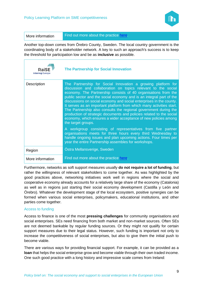

More information Find out more about the practice [here.](https://www.interregeurope.eu/policylearning/good-practices/item/2049/ateneus-cooperatius-network/)

Another top-down comes from Örebro County, Sweden. The local country government is the coordinating body of a stakeholder network. A key to such an approach's success is to keep the threshold for participation low and be as **inclusive** as possible.

| Rai<br><b>Interreg Europe</b> | <b>The Partnership for Social Innovation</b>                                                                                                                                                                                                                                                                                                                                                                                                                                                                                                                                                                                                                                                                                                                                                                                                                                                                         |
|-------------------------------|----------------------------------------------------------------------------------------------------------------------------------------------------------------------------------------------------------------------------------------------------------------------------------------------------------------------------------------------------------------------------------------------------------------------------------------------------------------------------------------------------------------------------------------------------------------------------------------------------------------------------------------------------------------------------------------------------------------------------------------------------------------------------------------------------------------------------------------------------------------------------------------------------------------------|
| Description                   | The Partnership for Social Innovation a growing platform for<br>discussion and collaboration on topics relevant to the social<br>economy. The Partnership consists of 40 organisations from the<br>public sector and the social economy and is an integral part of the<br>discussions on social economy and social enterprises in the county.<br>It serves as an important platform from which many activities start.<br>The Partnership also consults the regional government during the<br>production of strategic documents and policies related to the social<br>economy, which ensures a wider acceptance of new policies among<br>the target groups.<br>A workgroup consisting of representatives from five partner<br>organisations meets for three hours every third Wednesday to<br>handle ongoing issues and plan upcoming actions. Four times per<br>year the entire Partnership assembles for workshops. |
| Region                        | Ostra Mellansverige, Sweden                                                                                                                                                                                                                                                                                                                                                                                                                                                                                                                                                                                                                                                                                                                                                                                                                                                                                          |
| More information              | Find out more about the practice here.                                                                                                                                                                                                                                                                                                                                                                                                                                                                                                                                                                                                                                                                                                                                                                                                                                                                               |

Furthermore, networks as soft support measures usually **do not require a lot of funding**, but rather the willingness of relevant stakeholders to come together. As was highlighted by the good practices above, networking initiatives work well in regions where the social and cooperative economy already accounts for a relatively large share of the economy (Catalonia) as well as in regions just starting their social economy development (Castilla y León and Örebro). Whatever the development stage of the local ecosystem, positive synergies can be formed when various social enterprises, policymakers, educational institutions, and other parties come together.

#### Access to funding

Access to finance is one of the most **pressing challenges** for community organisations and social enterprises. SEs need financing from both market and non-market sources. Often SEs are not deemed bankable by regular funding sources. Or they might not qualify for certain support measures due to their legal status. However, such funding is important not only to increase the competitiveness of social enterprises, but also to give them the initial push to become viable.

There are various ways for providing financial support. For example, it can be provided as a **loan** that helps the social enterprise grow and become viable through their own traded income. One such good practice with a long history and impressive scale comes from Ireland: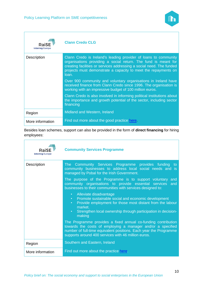

| <b>Interreg Europe</b> | <b>Clann Credo CLG</b>                                                                                                                                                                                                                                                               |
|------------------------|--------------------------------------------------------------------------------------------------------------------------------------------------------------------------------------------------------------------------------------------------------------------------------------|
| Description            | Clann Credo is Ireland's leading provider of loans to community<br>organisations providing a social return. The fund is meant for<br>creating facilities or services addressing a social need. The funded<br>projects must demonstrate a capacity to meet the repayments on<br>loan. |
|                        | Over 900 community and voluntary organisations in Ireland have<br>received finance from Clann Credo since 1996. The organisation is<br>working with an impressive budget of 100 million euros.                                                                                       |
|                        | Clann Credo is also involved in informing political institutions about<br>the importance and growth potential of the sector, including sector<br>financing                                                                                                                           |
| Region                 | Midland and Western, Ireland                                                                                                                                                                                                                                                         |
| More information       | Find out more about the good practice here.                                                                                                                                                                                                                                          |

Besides loan schemes, support can also be provided in the form of **direct financing** for hiring employees:

| <b>RaiSE</b><br><b>Interreg Europe</b> | <b>Community Services Programme</b>                                                                                                                                                                                                                                       |
|----------------------------------------|---------------------------------------------------------------------------------------------------------------------------------------------------------------------------------------------------------------------------------------------------------------------------|
| Description                            | The Community Services Programme provides funding to<br>community businesses to address local social needs and is<br>managed by Pobal for the Irish Government.                                                                                                           |
|                                        | The purpose of the Programme is to support voluntary and<br>community organisations to provide essential services<br>and<br>businesses to their communities with services designed to:                                                                                    |
|                                        | Alleviate disadvantage<br>$\bullet$<br>Promote sustainable social and economic development<br>$\bullet$ .<br>Provide employment for those most distant from the labour<br>$\bullet$<br>market.<br>Strengthen local ownership through participation in decision-<br>making |
|                                        | The Programme provides a fixed annual co-funding contribution<br>towards the costs of employing a manager and/or a specified<br>number of full-time equivalent positions. Each year the Programme<br>supports around 400 services with 46 million euros.                  |
| Region                                 | Southern and Eastern, Ireland                                                                                                                                                                                                                                             |
| More information                       | Find out more about the practice here.                                                                                                                                                                                                                                    |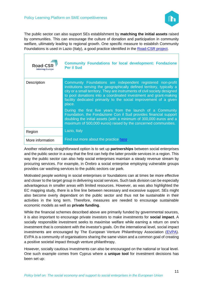

The public sector can also support SEs establishment by **matching the initial assets** raised by communities. This can encourage the culture of donation and participation in community welfare, ultimately leading to regional growth. One specific measure to establish Community Foundations is used in Lazio (Italy), a good practice identified in the [Road-CSR project.](https://www.interregeurope.eu/road-csr/)

| Road-CSF<br><b>Interreg Europe</b> | <b>Community Foundations for local development: Fondazione</b><br><b>Per il Sud</b>                                                                                                                                                                                                                                                                                   |
|------------------------------------|-----------------------------------------------------------------------------------------------------------------------------------------------------------------------------------------------------------------------------------------------------------------------------------------------------------------------------------------------------------------------|
| Description                        | Community Foundations are independent registered non-profit<br>institutions serving the geographically defined territory, typically a<br>city or a small territory. They are instruments of civil society designed<br>to pool donations into a coordinated investment and grant-making<br>facility dedicated primarily to the social improvement of a given<br>place. |
|                                    | During the first five years from the launch of a Community<br>Foundation, the Fondazione Con il Sud provides financial support<br>doubling the initial assets (with a minimum of 300,000 euros and a<br>maximum of 500,000 euros) raised by the concerned communities.                                                                                                |
| Region                             | Lazio, Italy                                                                                                                                                                                                                                                                                                                                                          |
| More information                   | Find out more about the practice here.                                                                                                                                                                                                                                                                                                                                |

Another relatively straightforward option is to set up **partnerships** between social enterprises and the public sector in a way that the first can help the latter provide services in a region. This way the public sector can also help social enterprises maintain a steady revenue stream by procuring services. For example, in Örebro a social enterprise employing vulnerable groups provides car washing services to the public sectors car park.

Motivated people working in social enterprises or foundations can at times be more effective and closer to the target group in delivering social services. Such task division can be especially advantageous in smaller areas with limited resources. However, as was also highlighted the EC mapping study, there is a fine line between necessary and excessive support. SEs might also become overly dependant on the public sector and thus not be sustainable in their activities in the long term. Therefore, measures are needed to encourage sustainable economic models as well as **private funding**.

While the financial schemes described above are primarily funded by governmental sources, it is also important to encourage private investors to make investments for **social impact**. A socially responsible investment seeks to maximise welfare while earning a return on one's investment that is consistent with the investor's goals. On the international level, social impact investments are encouraged by The European Venture Philanthropy Association [\(EVPA\)](https://evpa.eu.com/). EVPA is a community of organisations sharing the same vision and a common goal of creating a positive societal impact through venture philanthropy.

However, socially cautious investments can also be encouraged on the national or local level. One such example comes from Cyprus where a **unique tool** for investment decisions has been set up: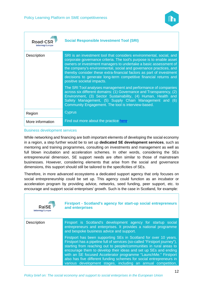

| Road-C<br><b>Interreg Europe</b> | <b>Social Responsible Investment Tool (SRI)</b>                                                                                                                                                                                                                                                                                                                                                                                                                 |
|----------------------------------|-----------------------------------------------------------------------------------------------------------------------------------------------------------------------------------------------------------------------------------------------------------------------------------------------------------------------------------------------------------------------------------------------------------------------------------------------------------------|
| Description                      | SRI is an investment tool that considers environmental, social, and<br>corporate governance criteria. The tool's purpose is to enable asset<br>owners or investment managers to undertake a basic assessment of<br>the company's environmental, social and governance practices, and<br>thereby consider these extra-financial factors as part of investment<br>decisions to generate long-term competitive financial returns and<br>positive societal impacts. |
|                                  | The SRI Tool analyses management and performance of companies<br>across six different domains: (1) Governance and Transparency, (2)<br>Environment, (3) Sector Sustainability, (4) Human, Health and<br>Safety Management, (5) Supply Chain Management and (6)<br>Community Engagement. The tool is interview-based.                                                                                                                                            |
| Region                           | <b>Cyprus</b>                                                                                                                                                                                                                                                                                                                                                                                                                                                   |
| More information                 | Find out more about the practice here.                                                                                                                                                                                                                                                                                                                                                                                                                          |

#### Business development services

While networking and financing are both important elements of developing the social economy in a region, a step further would be to set up **dedicated SE development services**, such as mentoring and training programmes, consulting on investments and management as well as full blown incubation and acceleration schemes. In other words, considering the SEs entrepreneurial dimension, SE support needs are often similar to those of mainstream businesses. However, considering elements that arise from the social and governance dimensions, this support should still be tailored to the specificities of SEs.

Therefore, in more advanced ecosystems a dedicated support agency that only focuses on social entrepreneurship could be set up. This agency could function as an incubator or acceleration program by providing advice, networks, seed funding, peer support, etc. to encourage and support social enterprises' growth. Such is the case in Scotland, for example:

| <b>RaiSE</b><br><b>Interreg Europe</b> | <b>Firstport - Scotland's agency for start-up social entrepreneurs</b><br>and enterprises                                                                                                                                                                                                                                                                                                                                                                                                        |
|----------------------------------------|--------------------------------------------------------------------------------------------------------------------------------------------------------------------------------------------------------------------------------------------------------------------------------------------------------------------------------------------------------------------------------------------------------------------------------------------------------------------------------------------------|
| <b>Description</b>                     | Firsport is Scotland's development agency for startup social<br>entrepreneurs and enterprises. It provides a national programme<br>and bespoke business advice and support.                                                                                                                                                                                                                                                                                                                      |
|                                        | Firstport has been supporting SEs in Scotland for over 10 years.<br>Firstport has a pipeline full of services (so-called "Firstport journey"),<br>starting from reaching out to people/communities in rural areas to<br>encourage them to develop their ideas and set up SEs and ending<br>with an SE focused Accelerator programme "LaunchMe." Firstport<br>also has five different funding schemes for social entrepreneurs in<br>various development stages, including an annual competition, |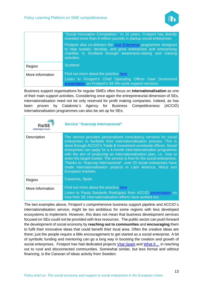

|                  | "Social Innovation Competition." In 10 years, Firstport has directly<br>invested more than 6 million pounds in startup social enterprises.                                                                          |
|------------------|---------------------------------------------------------------------------------------------------------------------------------------------------------------------------------------------------------------------|
|                  | Firstport also co-delivers the Just Enterprise programme designed<br>to help sustain, develop, and grow enterprises and enterprising<br>charities in Scotland through awareness-raising and training<br>activities. |
| Region           | <b>Scotland</b>                                                                                                                                                                                                     |
| More information | Find out more about the practice here.<br>Listen to Firstport's Chief Operating Officer Gael Drummond<br>presentation on Firstport's SE life-cycle support services.                                                |

Business support organisations for regular SMEs often focus on **internationalisation** as one of their main support activities. Considering once again the entrepreneurial dimension of SEs, internationalisation need not be only reserved for profit making companies. Indeed, as has been proven by Catalonia´s Agency for Business Competitiveness (ACCIÓ) internationalisation programmes can also be set up for SEs:

| RaiS<br><b>Interreg Europe</b> | <b>Service "Aracoop Internacional"</b>                                                                                                                                                                                                                                                                                                                                                                                                                                                                                                                                                                  |
|--------------------------------|---------------------------------------------------------------------------------------------------------------------------------------------------------------------------------------------------------------------------------------------------------------------------------------------------------------------------------------------------------------------------------------------------------------------------------------------------------------------------------------------------------------------------------------------------------------------------------------------------------|
| <b>Description</b>             | The service provides personalised consultancy services for social<br>enterprises to facilitate their internationalisation process. This is<br>done through ACCIÓ's Trade & Investment worldwide offices. Social<br>enterprises can apply for a 4-month internationalisation programme<br>with the aim of producing an internationalisation plan, i.e., how to<br>enter the target market. The service is free for the social enterprises.<br>Thanks to "Aracoop Internacional", over 20 social enterprises have<br>made internationalisation projects in Latin America, Africa and<br>European markets. |
| Region                         | Catalonia, Spain                                                                                                                                                                                                                                                                                                                                                                                                                                                                                                                                                                                        |
| More information               | Find out more about the practice here.<br>Listen to Paula Santarén Rodríguez from ACCIÓ presentation on<br>how their SE internationalisation efforts have worked out.                                                                                                                                                                                                                                                                                                                                                                                                                                   |

The two examples above, Firstport´s comprehensive business support pipeline and ACCIO´s internationalisation service, might be too ambitious for some regions with less developed ecosystems to implement. However, this does not mean that business development services focused on SEs could not be provided with less resources. The public sector can push forward the development of social economy by **reaching out to communities** and **encouraging** them to fulfil their innovative ideas that could benefit their local area. Often the creative ideas are there; just the people require a little encouragement to get started as a social enterprise. A bit of symbolic funding and mentoring can go a long way in boosting the creation and growth of social enterprises. Firstport has had dedicated projects [Vital Spark](https://www.interregeurope.eu/fileadmin/user_upload/plp_uploads/events/Webinars/Social_Enterprises_12-03-2020/Vital_Spark_Stimulating_social_enterprise_in_Argyll_and_Bute.pdf) and [What if...](https://www.interregeurope.eu/fileadmin/user_upload/plp_uploads/events/Webinars/Social_Enterprises_12-03-2020/What_if...Girvan.pdf) in reaching out to rural and disconnected communities. Somewhat similar, but less formal and without financing, is the Caravan of Ideas activity from Sweden: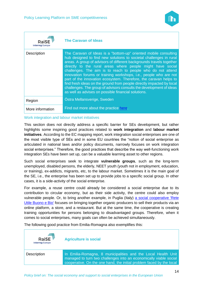

| Rais<br><b>Interreg Europe</b> | <b>The Caravan of Ideas</b>                                                                                                                                                                                                                                                                                                                                                                                                                                                                                                                                                                                                                                                                  |
|--------------------------------|----------------------------------------------------------------------------------------------------------------------------------------------------------------------------------------------------------------------------------------------------------------------------------------------------------------------------------------------------------------------------------------------------------------------------------------------------------------------------------------------------------------------------------------------------------------------------------------------------------------------------------------------------------------------------------------------|
| <b>Description</b>             | The Caravan of Ideas is a "bottom-up" oriented mobile consulting<br>hub designed to find new solutions to societal challenges in rural<br>areas. A group of advisors of different backgrounds travels together<br>directly to the rural areas where people might have social<br>challenges. The aim is to reach to people who do not attend<br>innovation forums or training workshops, i.e., people who are not<br>part of the innovation ecosystem. Therefore, the caravan helps to<br>find fresh ideas on the ground from people directly impacted by local<br>challenges. The group of advisors consults the development of ideas<br>as well as advises on possible financial solutions. |
| Region                         | Östra Mellansverige, Sweden                                                                                                                                                                                                                                                                                                                                                                                                                                                                                                                                                                                                                                                                  |
| More information               | Find out more about the practice here.                                                                                                                                                                                                                                                                                                                                                                                                                                                                                                                                                                                                                                                       |

#### Work integration and labour market initiatives

This section does not directly address a specific barrier for SEs development, but rather highlights some inspiring good practices related to **work integration** and **labour market initiatives**. According to the EC mapping report, work integration social enterprises are one of the most visible type of SEs and in some EU countries the "notion of social enterprise as articulated in national laws and/or policy documents, narrowly focuses on work integration social enterprises." Therefore, the good practices that describe the way well-functioning work integration SEs have been set up, can be a valuable learning asset to other regions.

Such social enterprises seek to integrate **vulnerable groups**, such as the long-term unemployed, disabled persons, the elderly, NEET youth (youth not in employment, education, or training), ex-addicts, migrants, etc, to the labour market. Sometimes it is the main goal of the SE, i.e., the enterprise has been set up to provide jobs to a specific social group. In other cases, it is a side-activity of the social enterprise.

For example, a reuse centre could already be considered a social enterprise due to its contribution to circular economy, but as their side activity, the centre could also employ vulnerable people. Or, to bring another example, in Puglia (Italy) a social cooperative 'Rete [Utile Buono e Bio'](https://www.interregeurope.eu/policylearning/good-practices/item/1242/developing-local-organic-production-in-a-socially-inclusive-restaurant-and-shop/) focuses on bringing together organic producers to sell their products via an online platform, a store, and a restaurant. But at the same time, the cooperative is creating training opportunities for persons belonging to disadvantaged groups. Therefore, when it comes to social enterprises, many goals can often be achieved simultaneously.

| <b>RaiSE</b><br><b>Interreg Europe</b> | <b>Agriculture is social</b>                                                                                                                                                                               |
|----------------------------------------|------------------------------------------------------------------------------------------------------------------------------------------------------------------------------------------------------------|
| <b>Description</b>                     | In Emilia-Romagna, 8 municipalities and the Local Health Unit<br>managed to turn two challenges into an economically viable social<br>cooperative. On the one hand, the initial problem faced by the local |

The following good practice from Emilia-Romagna also exemplifies this: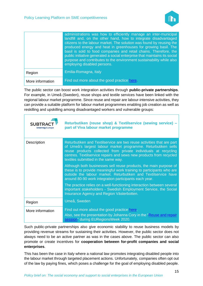

|                  | administrations was how to efficiently manage an inter-municipal<br>landfill and, on the other hand, how to integrate disadvantaged<br>citizens to the labour market. The solution was found by reusing the<br>produced energy and heat in greenhouses for growing basil. The<br>basil is sold to food companies and retail chains. Therefore, the<br>public initiative generated a social enterprise that maintains its social<br>purpose and contributes to the environment sustainability while also<br>employing disabled persons. |
|------------------|----------------------------------------------------------------------------------------------------------------------------------------------------------------------------------------------------------------------------------------------------------------------------------------------------------------------------------------------------------------------------------------------------------------------------------------------------------------------------------------------------------------------------------------|
| Region           | Emilia-Romagna, Italy                                                                                                                                                                                                                                                                                                                                                                                                                                                                                                                  |
| More information | Find out more about the good practice here.                                                                                                                                                                                                                                                                                                                                                                                                                                                                                            |

The public sector can boost work integration activities through **public-private partnerships**. For example, in Umeå (Sweden), reuse shops and textile services have been linked with the regional labour market programme. Since reuse and repair are labour-intensive activities, they can provide a suitable platform for labour market programmes enabling job creation as well as reskilling and upskilling among disadvantaged workers and vulnerable groups:

| <b>SUBTR</b><br><b>Interreg Europe</b> | Returbutiken (reuse shop) & Textilservice (sewing service) -<br>part of Viva labour market programme                                                                                                                                                                                                                  |
|----------------------------------------|-----------------------------------------------------------------------------------------------------------------------------------------------------------------------------------------------------------------------------------------------------------------------------------------------------------------------|
| Description                            | Returbutiken and Textilservice are two reuse activities that are part<br>of Umeå's largest labour market programme. Returbutiken sells<br>reuse products collected from private individuals at recycling<br>centres. Textilservice repairs and sews new products from recycled<br>textiles submitted in the same way. |
|                                        | Although both businesses sell reuse products, the main purpose of<br>these is to provide meaningful work training to participants who are<br>outside the labour market. Returbutiken and Textilservice have<br>around 80-90 work integration participants each year.                                                  |
|                                        | The practice relies on a well-functioning interaction between several<br>important stakeholders - Swedish Employment Service, the Social<br>Insurance Agency and Region Västerbotten.                                                                                                                                 |
| Region                                 | Umeå, Sweden                                                                                                                                                                                                                                                                                                          |
| More information                       | Find out more about the good practice here.<br>Also, see the presentation by Johanna Cory in the "Reuse and repair<br>session" during EURegionsWeek 2020.                                                                                                                                                             |

Such public-private partnerships also give economic stability to reuse business models by providing revenue streams for sustaining their activities. However, the public sector does not always need to be an active partner as was in the cases above. The public sector can also promote or create incentives for **cooperation between for-profit companies and social enterprises**.

This has been the case in Italy where a national law promotes integrating disabled people into the labour market through targeted placement actions. Unfortunately, companies often opt out of the law by paying fines, which poses a challenge for the goal of employing disabled people.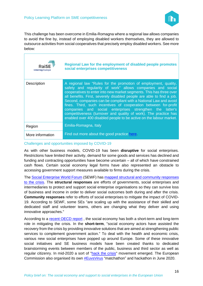

This challenge has been overcome in Emilia-Romagna where a regional law allows companies to avoid the fine by, instead of employing disabled workers themselves, they are allowed to outsource activities from social cooperatives that precisely employ disabled workers. See more below:

| RaiSE<br><b>Interreg Europe</b> | Regional Law for the employment of disabled people promotes<br>social enterprises competitiveness                                                                                                                                                                                                                                                                                                                                                                                                                                                                                                                           |
|---------------------------------|-----------------------------------------------------------------------------------------------------------------------------------------------------------------------------------------------------------------------------------------------------------------------------------------------------------------------------------------------------------------------------------------------------------------------------------------------------------------------------------------------------------------------------------------------------------------------------------------------------------------------------|
| Description                     | A regional law "Rules for the promotion of employment, quality,<br>safety and regularity of work" allows companies and social<br>cooperatives to enter into new market segments. This has three over<br>all benefits. First, severely disabled people are able to find a job.<br>Second, companies can be compliant with a National Law and avoid<br>fines. Third, such incentives of cooperation between for-profit<br>companies and social enterprises strengthen the latter's<br>competitiveness (turnover and quality of work). The practice has<br>enabled over 400 disabled people to be active on the labour market. |
| Region                          | Emilia-Romagna, Italy                                                                                                                                                                                                                                                                                                                                                                                                                                                                                                                                                                                                       |
| More information                | Find out more about the good practice here.                                                                                                                                                                                                                                                                                                                                                                                                                                                                                                                                                                                 |

Challenges and opportunities imposed by COVID-19

As with other business models, COVID-19 has been **disruptive** for social enterprises. Restrictions have limited their activity, demand for some goods and services has declined and funding and contracting opportunities have become uncertain – all of which have constrained cash flows. Certain social economy legal forms have also represented an obstacle to accessing government support measures available to firms during the crisis.

The [Social Enterprise World Forum](https://sewfonline.com/) (SEWF) has [mapped structural and community responses](https://sewfonline.com/home/building-capacity-and-capability/global-response-to-coronavirus/)  [to the crisis.](https://sewfonline.com/home/building-capacity-and-capability/global-response-to-coronavirus/) The **structural responses** are efforts of governments, social enterprises and intermediaries to protect and support social enterprise organisations so they can survive loss of business and income in order to deliver social outcomes both during and after the crisis. **Community responses** refer to efforts of social enterprises to mitigate the impact of COVID-19. According to SEWF, some SEs "are scaling up with the assistance of their skilled and dedicated staff and volunteer teams, others are changing what they deliver and using innovative approaches."

According to a [recent OECD report](http://www.oecd.org/coronavirus/policy-responses/social-economy-and-the-covid-19-crisis-current-and-future-roles-f904b89f/) , the social economy has both a short-term and long-term role in mitigating the crisis. In the **short-term**, "social economy actors have assisted the recovery from the crisis by providing innovative solutions that are aimed at strengthening public services to complement government action." To deal with the health and economic crisis, various new social enterprises have popped up around Europe. Some of these innovative social initiatives and SE business models have been created thanks to dedicated brainstorming events between members of the public, business and third sector as well as regular citizenry. In mid-2020 a sort of ["hack the crisis"](https://theglobalhack.com/about) movement emerged. The European Commission also organised its own [#EuvsVirus](https://www.euvsvirus.org/) "matchathon" and hackathon in June 2020.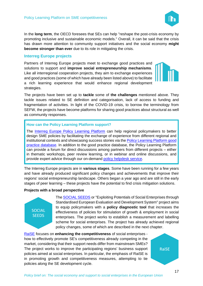In the **long term**, the OECD foresees that SEs can help "reshape the post-crisis economy by promoting inclusive and sustainable economic models." Overall, it can be said that the crisis has drawn more attention to community support initiatives and the social economy **might become stronger than ever** due to its role in mitigating the crisis.

#### <span id="page-16-0"></span>**Interreg Europe projects**

Partners of Interreg Europe projects meet to exchange good practices and solutions to support and **improve social entrepreneurship mechanisms**. Like all interregional cooperation projects, they aim to exchange experiences and good practices (some of which have already been listed above) to facilitate a rich learning experience that would enhance regional development strategies.

The projects have been set up to **tackle** some of **the challenges** mentioned above. They tackle issues related to SE definition and categorisation, lack of access to funding and fragmentation of activities. In light of the COVID-19 crisis, to borrow the terminology from SEFW, the projects have become platforms for sharing good practices about structural as well as community responses.

#### **How can the Policy Learning Platform support?**

The [Interreg Europe Policy Learning Platform](https://www.interregeurope.eu/policylearning/) can help regional policymakers to better design SME policies by facilitating the exchange of experience from different regional and institutional contexts and showcasing success stories via the [Policy Learning Platform good](https://www.interregeurope.eu/policylearning/good-practices/)  [practice database.](https://www.interregeurope.eu/policylearning/good-practices/) In addition to the good practice database, the [Policy Learning Platform](https://www.interregeurope.eu/policylearning/) can provide a forum for direct discussions among partners from different projects – either in thematic workshops, peer review learning, or in webinar and online discussions, and provide expert advice through our on-demand [policy helpdesk](https://www.interregeurope.eu/policylearning/expert-support/) service.

The Interreg Europe projects are in **various stages**. Some have been running for a few years and have already produced significant policy changes and achievements that improve their regions' social entrepreneurship landscape. Others began a year ago and are still in the early stages of peer learning – these projects have the potential to find crisis mitigation solutions.

#### **Projects with a broad perspective**



The [SOCIAL SEEDS](https://www.interregeurope.eu/socialseeds/) or "Exploiting Potentials of Social Enterprises through Standardised European Evaluation and Development System" project aims to equip policymakers with a **policy diagnostic tool** that increases the effectiveness of policies for stimulation of growth & employment in social enterprises. The project works to establish a measurement and labelling scheme for social enterprises. The project has already achieved regional policy changes, some of which are described in the next chapter.

[RaiSE](https://www.interregeurope.eu/raise/) focuses on **enhancing the competitiveness** of social enterprises how to effectively promote SE's competitiveness already competing in the market, considering that their support needs differ from mainstream SMEs? The project works to improve the participating regions' business support policies aimed at social enterprises. In particular, the emphasis of RaiSE is in promoting growth and competitiveness measures, attempting to tie policies along the SE development cycle.

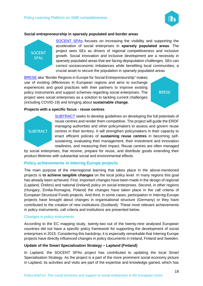

#### **Social entrepreneurship in sparsely populated and border areas**



[SOCENT SPAs](https://www.interregeurope.eu/socentspas/) focuses on increasing the visibility and supporting the acceleration of social enterprises in **sparsely populated areas**. The project sees SEs as drivers of regional competitiveness and inclusive growth. Social innovation and inclusive development are a necessity in sparsely populated areas that are facing depopulation challenges. SEs can correct socioeconomic imbalances while benefiting local communities, a crucial asset to secure the population in sparsely populated areas.

[BRESE](https://www.interregeurope.eu/brese/) aka "Border Regions in Europe for Social Entrepreneurship" makes use of existing differences in European regions and aims to exchange experiences and good practices with their partners to improve existing policy instruments and support schemes regarding social enterprises. The project sees social enterprises as a solution to tackling current challenges (including COVID-19) and bringing about **sustainable change**.

**BRESE** 

#### **Projects with a specific focus - reuse centres**



[SUBTRACT](https://www.interregeurope.eu/subtract/) seeks to develop guidelines on developing the full potentials of reuse centres and render them competitive. The project will guide the ERDF managing authorities and other policymakers to assess and govern reuse centres in their territory. It will strengthen policymakers in their capacity to enact efficient policies of **sustaining reuse centres** in becoming selfsustaining, evaluating their management, their investment and innovation readiness, and measuring their impact. Reuse centres are often managed

by social enterprises, that receive, prepare for reuse, and distribute goods extending their product lifetimes with substantial social and environmental effects.

#### <span id="page-17-0"></span>**Policy achievements in Interreg Europe projects**

The main purpose of the interregional learning that takes place in the above-mentioned projects is **to achieve tangible changes** on the local policy level. In many regions this goal has already been achieved. First, important changes have been made in the design of regional (Lapland, Örebro) and national (Ireland) policy on social enterprises. Second, in other regions (Hungary, Emilia-Romagna, Poland) the changes have taken place in the call criteria of European Structural Funds projects. And third, in some cases, participation in Interreg Europe projects have brought about changes in organisational structure (Germany) or they have contributed to the creation of new institutions (Scotland). These most relevant achievements in policy instruments, call criteria and institutions are presented below.

#### Changes in policy instruments

According to the EC mapping study, twenty-two out of the twenty-nine analysed European countries did not have a specific policy framework for supporting the development of social enterprises in 2015. Considering this backdrop, it is especially remarkable that Interreg Europe projects have directly influenced changes in policy documents in Ireland, Finland and Sweden.

#### **Update of the Smart Specialization Strategy – Lapland (Finland)**

In Lapland, the SOCENT SPAs project has contributed to updating the local Smart Specialisation Strategy. As the project is a part of the more prominent social economy picture in Lapland, its activities and visits are part of the expertise and knowledge gained, which has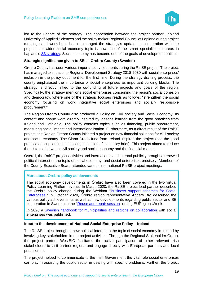

led to the update of the strategy. The cooperation between the project partner Lapland University of Applied Sciences and the policy maker Regional Council of Lapland during project meetings and workshops has encouraged the strategy's update. In cooperation with the project, the wider social economy topic is now one of the smart specialisation areas in Lapland's [S3 strategy.](https://arcticsmartness.eu/wp-content/uploads/2018/12/KV-julkaisu_englanti_4.12.2018.pdf) Social economy has become one of the goals of development entities.

#### **Strategic significance given to SEs – Örebro County (Sweden)**

Örebro County has seen various important developments during the RaiSE project. The project has managed to impact the Regional Development Strategy 2018-2030 with social enterprises' inclusion in the policy document for the first time. During the strategy drafting process, the county emphasised the importance of social enterprises as important building blocks. The strategy is directly linked to the co-funding of future projects and goals of the region. Specifically, the strategy mentions social enterprises concerning the region's social cohesion and democracy, where one of the strategic focuses reads as follows: "strengthen the social economy focusing on work integrative social enterprises and socially responsible procurement."

The Region Örebro County also produced a Policy on Civil society and Social Economy. Its content and shape were directly inspired by lessons learned from the good practices from Ireland and Catalonia. The policy contains topics such as financing, public procurement, measuring social impact and internationalisation. Furthermore, as a direct result of the RaiSE project, the Region Örebro County initiated a project on new financial solutions for civil society and social economy. The Clann Credo fund from Ireland inspired the project (see the good practice description in the challenges section of this policy brief). This project aimed to reduce the distance between civil society and social economy and the financial market.

Overall, the RaiSE project activities and international and internal publicity brought a renewed political interest to the topic of social economy, and social enterprises precisely. Members of the County Executive Board attended various international RaiSE project meetings.

#### **More about Örebro policy achievements**

The social economy developments in Örebro have also been covered in the two virtual Policy Learning Platform events. In March 2020, the RaiSE project lead partner described the Örebro policy change during the Webinar "Business support schemes for Social [Enterprises.](https://www.interregeurope.eu/policylearning/news/8023/webinar-on-social-enterprises/)" In October 2020, Örebro region representative Anders Bro described the various policy achievements as well as new developments regarding public sector and SE cooperation in Sweden in the ["Reuse and repair session"](https://www.interregeurope.eu/policylearning/news/10065/reuse-and-repair-session-euregionsweek-key-takeways/) during EURegionsWeek.

In 2020 a [Swedish handbook for municipalities and regions on collaboration](https://webbutik.skr.se/sv/artiklar/ny-vag-till-innovativa-valfardslosningar-.html) with social enterprises was published.

#### **Input to the development of National Social Enterprise Policy – Ireland**

The RaiSE project brought a new political interest to the topic of social economy in Ireland by involving key stakeholders in the project activities. Through the Regional Stakeholder Group, the project partner WestBIC facilitated the active participation of other relevant Irish stakeholders to visit partner regions and engage directly with European partners and local practitioners.

The project helped to communicate to the Irish Government the vital role social enterprises can play in assisting the public sector in dealing with specific problems. Further, the project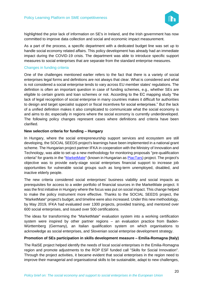

highlighted the prior lack of information on SE's in Ireland, and the Irish government has now committed to improve data collection and social and economic impact measurement.

As a part of the process, a specific department with a dedicated budget line was set up to handle social economy related affairs. This policy development has already had an immediate impact during the COVID-19 crisis. The department was able to introduce specific support measures to social enterprises that are separate from the standard enterprise measures.

#### Changes in funding criteria

One of the challenges mentioned earlier refers to the fact that there is a variety of social enterprises legal forms and definitions are not always that clear. What is considered and what is not considered a social enterprise tends to vary across EU member states' regulations. The definition is often an important question in case of funding schemes, e.g., whether SEs are eligible to certain grants and loan schemes or not. According to the EC mapping study "the lack of legal recognition of social enterprise in many countries makes it difficult for authorities to design and target specialist support or fiscal incentives for social enterprises." But the lack of a unified definition makes it also complicated to communicate what the social economy is and aims to do; especially in regions where the social economy is currently underdeveloped. The following policy changes represent cases where definitions and criteria have been clarified.

#### **New selection criteria for funding – Hungary**

In Hungary, where the social entrepreneurship support services and ecosystem are still developing, the SOCIAL SEEDS project's learnings have been implemented in a national grant scheme. The Hungarian project partner IFKA in cooperation with the Ministry of Innovation and Technology, was able to set up a new methodology for monitoring proposals "pre-qualification criteria" for grants in the ["MarketMate"](https://www.interregeurope.eu/policylearning/good-practices/item/1020/marketmate-hungarian-national-priority-project-piactars/) (known in Hungarian as [PiacTars\)](http://piactars.hu/) project. The project's objective was to provide early-stage social enterprises financial support to increase job opportunities for vulnerable social groups such as long-term unemployed, disabled, and inactive elderly people.

The new criteria considered social enterprises' business viability and social impacts as prerequisites for access to a wider portfolio of financial sources in the MarketMate project. It was the first initiative in Hungary where the focus was put on social impact. This change helped to make the policy instrument more effective. Thanks to the SOCIAL SEEDS project, the "MarketMate" project's budget, and timeline were also increased. Under this new methodology, by May 2019, IFKA had evaluated over 1300 projects, provided training, and mentored over 600 social enterprises, and issued over 500 certifications.

The ideas for transforming the "MarketMate" evaluation system into a working certification system were inspired by other partner regions – an evaluation practice from Baden-Württemberg (Germany), an Italian qualification system on which organisations to acknowledge as social enterprises, and Slovenian social enterprise development strategy.

#### **Promotion of SEs participation in skills development measure – Emilia-Romagna (Italy)**

The RaiSE project helped identify the needs of local social enterprises in the Emilia-Romagna region and promote adjustments to the ROP ESF funded call "Skills for Social Innovation". Through the project activities, it became evident that social enterprises in the region need to improve their managerial and organisational skills to be sustainable, adapt to new challenges,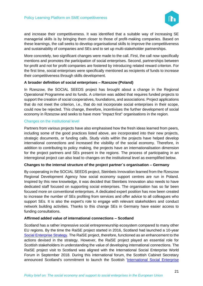

and increase their competitiveness. It was identified that a suitable way of increasing SE managerial skills is by bringing them closer to those of profit-making companies. Based on these learnings, the call seeks to develop organisational skills to improve the competitiveness and sustainability of companies and SEs and to set up multi-stakeholder partnerships.

More concretely, two significant changes were made to the call. First, the call now specifically mentions and promotes the participation of social enterprises. Second, partnerships between for-profit and not for profit companies are fostered by introducing related reward criterion. For the first time, social enterprises were specifically mentioned as recipients of funds to increase their competitiveness through skills development.

#### **A broader definition of social enterprises – Rzeszow (Poland)**

In Rzeszow, the SOCIAL SEEDS project has brought about a change in the Regional Operational Programme and its funds. A criterion was added that requires funded projects to support the creation of social cooperatives, foundations, and associations. Project applications that do not meet the criterion, i.e., that do not incorporate social enterprises in their scope, could now be rejected. This change, therefore, incentivises the further development of social economy in Rzeszow and seeks to have more "impact first" organisations in the region.

#### Changes on the institutional level

Partners from various projects have also emphasised how the fresh ideas learned from peers, including some of the good practices listed above, are incorporated into their new projects, strategic documents, or funding calls. Study visits within the projects have helped develop international connections and increased the visibility of the social economy. Therefore, in addition to contributing to policy making, the projects have an internationalisation dimension for the project partners and SEs present in the regions. The process of participating in an interregional project can also lead to changes on the institutional level as exemplified below.

#### **Changes to the internal structure of the project partner´s organisation – Germany**

By cooperating in the SOCIAL SEEDS project, Steinbeis Innovation learned from the Rzeszow Regional Development Agency how social economy support centres are run in Poland. Inspired by this new knowledge, it was decided that Steinbeis Innovation also needs to have dedicated staff focused on supporting social enterprises. The organisation has so far been focused more on conventional enterprises. A dedicated expert position has now been created to increase the number of SEs profiting from services and offer advice to all colleagues who support SEs. It is also the expert's role to engage with relevant stakeholders and conduct network building activities. Thanks to this change SEs in Germany have easier access to funding consultations.

#### **Affirmed added value of international connections – Scotland**

Scotland has a rather impressive social entrepreneurship ecosystem compared to many other EU regions. By the time the RaiSE project started in 2016, Scotland had launched a 10-year [Social Enterprise Strategy.](https://www.gov.scot/publications/scotlands-social-enterprise-strategy-2016-2026/) The RaiSE project, therefore, functioned as an enhancement to the actions devised in the strategy. However, the RaiSE project played an essential role for Scottish stakeholders in understanding the value of developing international connections. The RaiSE project visit to Scotland was aligned with the International Social Enterprise World Forum in September 2018. During this international forum, the Scottish Cabinet Secretary announced Scotland's commitment to launch the Scottish ['International Social Enterprise](https://internationalseobservatory.org/)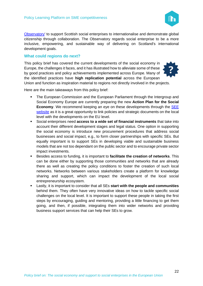

[Observatory'](https://internationalseobservatory.org/) to support Scottish social enterprises to internationalise and demonstrate global citizenship through collaboration. The Observatory regards social enterprise to be a more inclusive, empowering, and sustainable way of delivering on Scotland's international development goals.

#### <span id="page-21-0"></span>**What could regions do next?**

This policy brief has covered the current developments of the social economy in Europe, the challenges it faces, and it has illustrated how to alleviate some of these by good practices and policy achievements implemented across Europe. Many of the identified practices have **high replication potential** across the European Union and function as inspiration material to regions not directly involved in the projects.



Here are the main takeaways from this policy brief:

- The European Commission and the European Parliament through the Intergroup and Social Economy Europe are currently preparing the new **Action Plan for the Social Economy**. We recommend keeping an eye on these developments through the [SEE](https://www.socialeconomy.eu.org/)  [website](https://www.socialeconomy.eu.org/) as it is a great opportunity to link policies and strategic documents on the local level with the developments on the EU level.
- Social enterprises need **access to a wide set of financial instruments** that take into account their different development stages and legal status. One option in supporting the social economy is introduce new procurement procedures that address social businesses and social impact, e.g., to form closer partnerships with specific SEs. But equally important is to support SEs in developing viable and sustainable business models that are not too dependant on the public sector and to encourage private sector impact investments.
- Besides access to funding, it is important to **facilitate the creation of networks**. This can be done either by supporting those communities and networks that are already there as well as creating the policy conditions to foster the creation of such local networks. Networks between various stakeholders create a platform for knowledge sharing and support, which can impact the development of the local social entrepreneurship ecosystem.
- Lastly, it is important to consider that all SEs **start with the people and communities** behind them. They often have very innovative ideas on how to tackle specific social challenges on the local level. It is important to support these people in taking the first steps by encouraging, guiding and mentoring, providing a little financing to get them going, and then, if possible, integrating them into wider networks and providing business support services that can help their SEs to grow.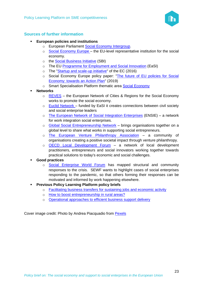

#### <span id="page-22-0"></span>**Sources of further information**

- **European policies and institutions** 
	- o European Parliament [Social Economy Intergroup.](https://www.europarl.europa.eu/about-parliament/en/organisation-and-rules/organisation/intergroups)
	- o [Social Economy Europe](https://www.socialeconomy.eu.org/) the EU-level representative institution for the social economy.
	- o the [Social Business Initiative](https://eur-lex.europa.eu/legal-content/EN/ALL/?uri=CELEX%3A52011DC0682) (SBI)
	- o The EU Programme for [Employment and Social Innovation](https://ec.europa.eu/social/main.jsp?catId=1081) (EaSI)
	- o The ["Startup and scale-up initiative"](https://eur-lex.europa.eu/legal-content/EN/TXT/?uri=CELEX:52016DC0733) of the EC (2016)
	- o Social Economy Europe policy paper: "The future of EU policies for Social [Economy: towards an Action Plan"](https://s3platform.jrc.ec.europa.eu/-/policy-paper-on-the-future-of-eu-policies-for-social-economy-towards-an-action-plan-?inheritRedirect=true&redirect=%2Fsocial-economy) (2019)
	- o Smart Specialisation Platform thematic area [Social Economy](https://s3platform.jrc.ec.europa.eu/social-economy)
- **Networks** 
	- o [REVES](http://www.revesnetwork.eu/wp/) the European Network of Cities & Regions for the Social Economy works to promote the social economy.
	- o [Euclid Network](http://euclidnetwork.eu/) funded by EaSI it creates connections between civil society and social enterprise leaders
	- o [The European Network of Social Integration Enterprises](http://www.ensie.org/) (ENSIE) a network for work integration social enterprises.
	- o [Global Social Entrepreneurship Network](http://www.gsen.global/) brings organisations together on a global level to share what works in supporting social entrepreneurs.
	- o [The European Venture Philanthropy Association](https://evpa.eu.com/) a community of organisations creating a positive societal impact through venture philanthropy.
	- o [OECD Local Development Forum](https://www.oecd.org/local-forum/) a network of local development practitioners, entrepreneurs and social innovators working together towards practical solutions to today's economic and social challenges.
- **Good practices** 
	- o [Social Enterprise World Forum](https://sewfonline.com/home/building-capacity-and-capability/global-response-to-coronavirus/) has mapped structural and community responses to the crisis. SEWF wants to highlight cases of social enterprises responding to the pandemic, so that others forming their responses can be motivated and informed by work happening elsewhere.
- **Previous Policy Learning Platform policy briefs** 
	- o [Facilitating business transfers for sustaining jobs and economic activity](https://www.interregeurope.eu/fileadmin/user_upload/plp_uploads/policy_briefs/2020-09-28_TO3_Policy_Brief_-_Facilitating_business_transfers_for_sustaining_jobs_and_economic_activity.pdf)
	- o [How to boost entrepreneurship in rural areas?](https://www.interregeurope.eu/fileadmin/user_upload/plp_uploads/policy_briefs/Policy_Brief_-_How_to_boost_entrepreneurship_in_rural_areas.pdf)
	- o [Operational approaches to efficient business support delivery](https://www.interregeurope.eu/fileadmin/user_upload/plp_uploads/policy_briefs/Policy_Brief_-_Efficient_business_support_ecosystems.pdf)

Cover image credit: Photo by Andrea Piacquadio from [Pexels](https://www.pexels.com/zh-tw/photo/3769021/)